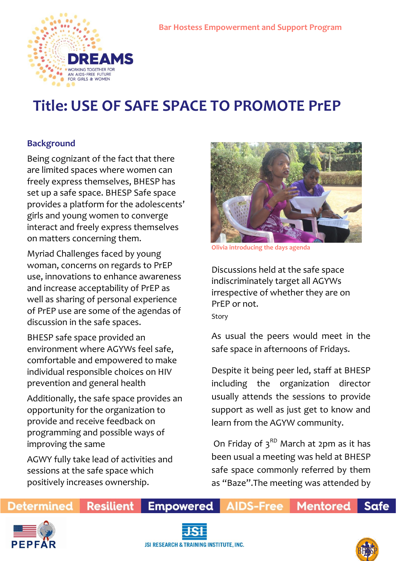

# **Title: USE OF SAFE SPACE TO PROMOTE PrEP**

## **Background**

Being cognizant of the fact that there are limited spaces where women can freely express themselves, BHESP has set up a safe space. BHESP Safe space provides a platform for the adolescents' girls and young women to converge interact and freely express themselves on matters concerning them.

Myriad Challenges faced by young woman, concerns on regards to PrEP use, innovations to enhance awareness and increase acceptability of PrEP as well as sharing of personal experience of PrEP use are some of the agendas of discussion in the safe spaces.

BHESP safe space provided an environment where AGYWs feel safe, comfortable and empowered to make individual responsible choices on HIV prevention and general health

Additionally, the safe space provides an opportunity for the organization to provide and receive feedback on programming and possible ways of improving the same

AGWY fully take lead of activities and sessions at the safe space which positively increases ownership.

**Resilient** 



**Olivia introducing the days agenda** 

Discussions held at the safe space indiscriminately target all AGYWs irrespective of whether they are on PrEP or not. Story

As usual the peers would meet in the safe space in afternoons of Fridays.

Despite it being peer led, staff at BHESP including the organization director usually attends the sessions to provide support as well as just get to know and learn from the AGYW community.

On Friday of  $3<sup>RD</sup>$  March at 2pm as it has been usual a meeting was held at BHESP safe space commonly referred by them as "Baze".The meeting was attended by

**Mentored** 

**Determined** 



**Empowered AIDS-Free** 



**Safe**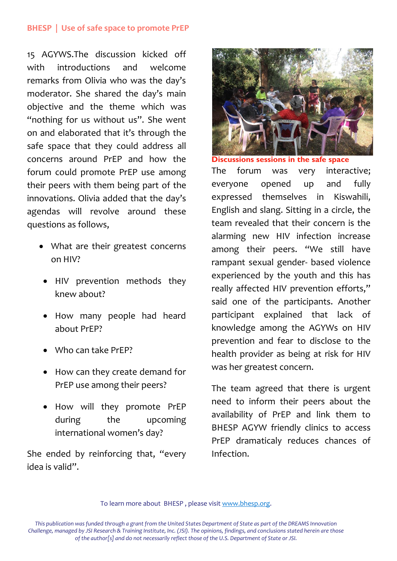#### **BHESP | Use of safe space to promote PrEP**

15 AGYWS.The discussion kicked off with introductions and welcome remarks from Olivia who was the day's moderator. She shared the day's main objective and the theme which was "nothing for us without us". She went on and elaborated that it's through the safe space that they could address all concerns around PrEP and how the forum could promote PrEP use among their peers with them being part of the innovations. Olivia added that the day's agendas will revolve around these questions as follows,

- What are their greatest concerns on HIV?
- HIV prevention methods they knew about?
- How many people had heard about PrEP?
- Who can take PrFP?
- How can they create demand for PrEP use among their peers?
- How will they promote PrEP during the upcoming international women's day?

She ended by reinforcing that, "every idea is valid".



**Discussions sessions in the safe space** The forum was very interactive; everyone opened up and fully expressed themselves in Kiswahili, English and slang. Sitting in a circle, the team revealed that their concern is the alarming new HIV infection increase among their peers. "We still have rampant sexual gender- based violence experienced by the youth and this has really affected HIV prevention efforts," said one of the participants. Another participant explained that lack of knowledge among the AGYWs on HIV prevention and fear to disclose to the health provider as being at risk for HIV was her greatest concern.

The team agreed that there is urgent need to inform their peers about the availability of PrEP and link them to BHESP AGYW friendly clinics to access PrEP dramaticaly reduces chances of Infection.

To learn more about BHESP , please visit www.bhesp.org.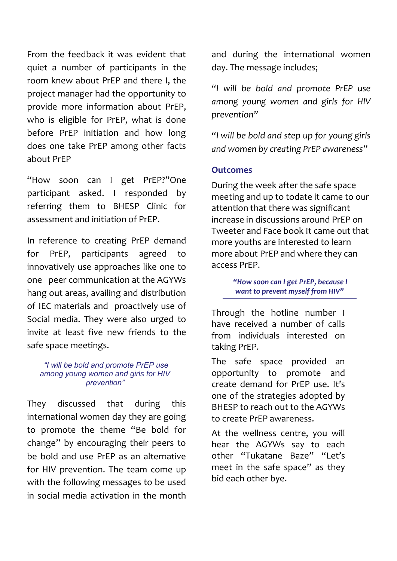From the feedback it was evident that quiet a number of participants in the room knew about PrEP and there I, the project manager had the opportunity to provide more information about PrEP, who is eligible for PrEP, what is done before PrEP initiation and how long does one take PrEP among other facts about PrEP

"How soon can I get PrEP?"One participant asked. I responded by referring them to BHESP Clinic for assessment and initiation of PrEP.

In reference to creating PrEP demand for PrEP, participants agreed to innovatively use approaches like one to one peer communication at the AGYWs hang out areas, availing and distribution of IEC materials and proactively use of Social media. They were also urged to invite at least five new friends to the safe space meetings.

*"I will be bold and promote PrEP use among young women and girls for HIV prevention"*

They discussed that during this international women day they are going to promote the theme "Be bold for change" by encouraging their peers to be bold and use PrEP as an alternative for HIV prevention. The team come up with the following messages to be used in social media activation in the month

and during the international women day. The message includes;

*"I will be bold and promote PrEP use among young women and girls for HIV prevention"* 

*"I will be bold and step up for young girls and women by creating PrEP awareness"*

#### **Outcomes**

During the week after the safe space meeting and up to todate it came to our attention that there was significant increase in discussions around PrEP on Tweeter and Face book It came out that more youths are interested to learn more about PrEP and where they can access PrEP.

> *"How soon can I get PrEP, because I want to prevent myself from HIV"*

Through the hotline number I have received a number of calls from individuals interested on taking PrEP.

The safe space provided an opportunity to promote and create demand for PrEP use. It's one of the strategies adopted by BHESP to reach out to the AGYWs to create PrEP awareness.

At the wellness centre, you will hear the AGYWs say to each other "Tukatane Baze" "Let's meet in the safe space" as they bid each other bye.